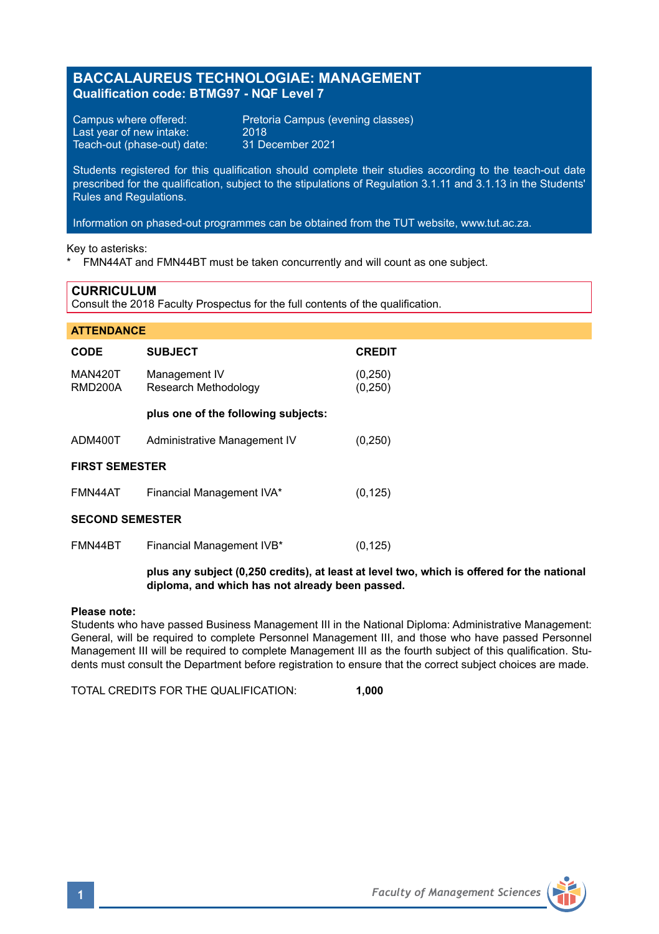## **BACCALAUREUS TECHNOLOGIAE: MANAGEMENT Qualification code: BTMG97 - NQF Level 7**

Last year of new intake: 2018<br>Teach-out (phase-out) date: 31 December 2021 Teach-out (phase-out) date:

Campus where offered: Pretoria Campus (evening classes)<br>Last vear of new intake: 2018

Students registered for this qualification should complete their studies according to the teach-out date prescribed for the qualification, subject to the stipulations of Regulation 3.1.11 and 3.1.13 in the Students' Rules and Regulations.

Information on phased-out programmes can be obtained from the TUT website, www.tut.ac.za.

Key to asterisks:

\* FMN44AT and FMN44BT must be taken concurrently and will count as one subject.

### **CURRICULUM**

Consult the 2018 Faculty Prospectus for the full contents of the qualification.

| <b>ATTENDANCE</b>         |                                                                                                 |                     |
|---------------------------|-------------------------------------------------------------------------------------------------|---------------------|
| <b>CODE</b>               | <b>SUBJECT</b>                                                                                  | <b>CREDIT</b>       |
| <b>MAN420T</b><br>RMD200A | Management IV<br>Research Methodology                                                           | (0, 250)<br>(0,250) |
|                           | plus one of the following subjects:                                                             |                     |
| ADM400T                   | Administrative Management IV                                                                    | (0,250)             |
| <b>FIRST SEMESTER</b>     |                                                                                                 |                     |
| FMN44AT                   | Financial Management IVA*                                                                       | (0, 125)            |
| <b>SECOND SEMESTER</b>    |                                                                                                 |                     |
| FMN44BT                   | Financial Management IVB*                                                                       | (0, 125)            |
|                           | situata any atticked (0.950 availle), at locat at local two cubiab in affected for the potional |                     |

#### **plus any subject (0,250 credits), at least at level two, which is offered for the national diploma, and which has not already been passed.**

#### **Please note:**

Students who have passed Business Management III in the National Diploma: Administrative Management: General, will be required to complete Personnel Management III, and those who have passed Personnel Management III will be required to complete Management III as the fourth subject of this qualification. Students must consult the Department before registration to ensure that the correct subject choices are made.

TOTAL CREDITS FOR THE QUALIFICATION: **1,000**